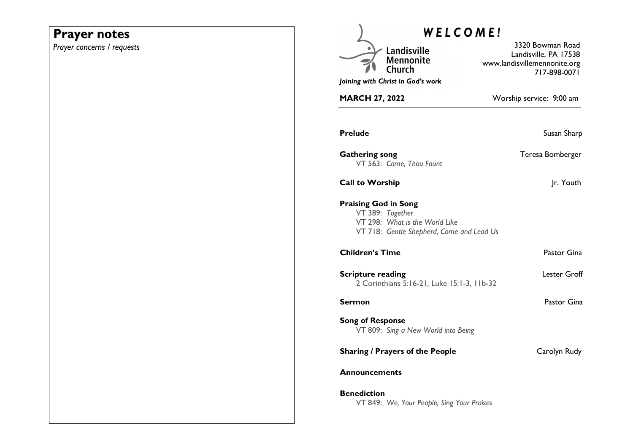## **Prayer notes**

*Prayer concerns / requests* 

| <b>WELCOME!</b>                   |                                                                                                 |                                                                                           |
|-----------------------------------|-------------------------------------------------------------------------------------------------|-------------------------------------------------------------------------------------------|
|                                   | Landisville<br><b>Mennonite</b><br>Church                                                       | 3320 Bowman Road<br>Landisville, PA 17538<br>www.landisvillemennonite.org<br>717-898-0071 |
| Joining with Christ in God's work |                                                                                                 |                                                                                           |
| <b>MARCH 27, 2022</b>             |                                                                                                 | Worship service: 9:00 am                                                                  |
| <b>Prelude</b>                    |                                                                                                 | Susan Sharp                                                                               |
| <b>Gathering song</b>             | VT 563: Come, Thou Fount                                                                        | Teresa Bomberger                                                                          |
| <b>Call to Worship</b>            |                                                                                                 | Jr. Youth                                                                                 |
| <b>Praising God in Song</b>       | VT 389: Together<br>VT 298: What is the World Like<br>VT 718: Gentle Shepherd, Come and Lead Us |                                                                                           |
| <b>Children's Time</b>            |                                                                                                 | Pastor Gina                                                                               |
| <b>Scripture reading</b>          | 2 Corinthians 5:16-21, Luke 15:1-3, 11b-32                                                      | Lester Groff                                                                              |
| <b>Sermon</b>                     |                                                                                                 | Pastor Gina                                                                               |
| <b>Song of Response</b>           | VT 809: Sing a New World into Being                                                             |                                                                                           |
|                                   | <b>Sharing / Prayers of the People</b>                                                          | Carolyn Rudy                                                                              |
| Announcements                     |                                                                                                 |                                                                                           |
| <b>Benediction</b>                | VT 849: We, Your People, Sing Your Praises                                                      |                                                                                           |